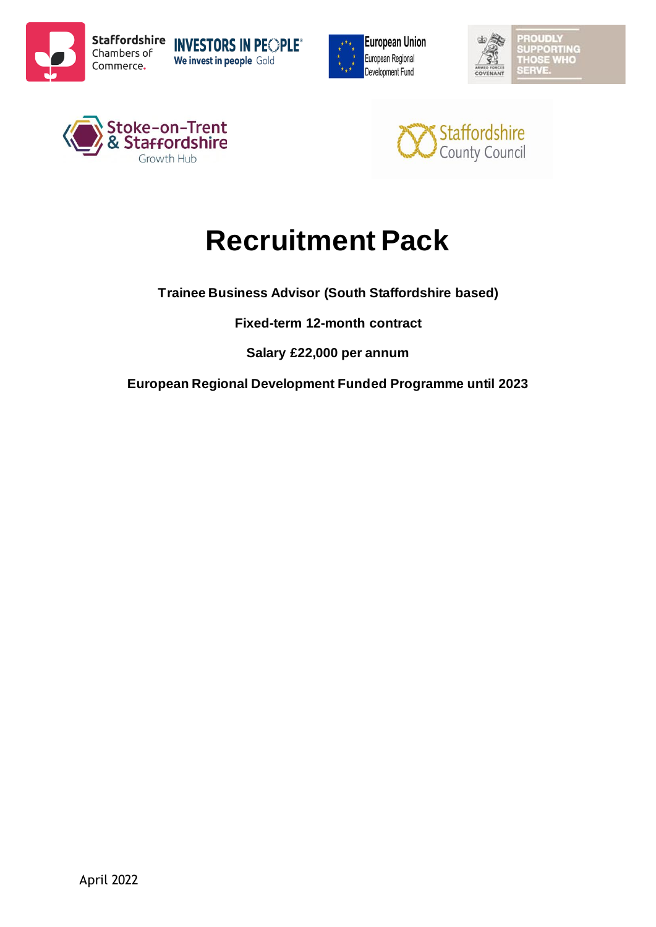









# **Recruitment Pack**

**Trainee Business Advisor (South Staffordshire based)**

**Fixed-term 12-month contract**

**Salary £22,000 per annum**

**European Regional Development Funded Programme until 2023**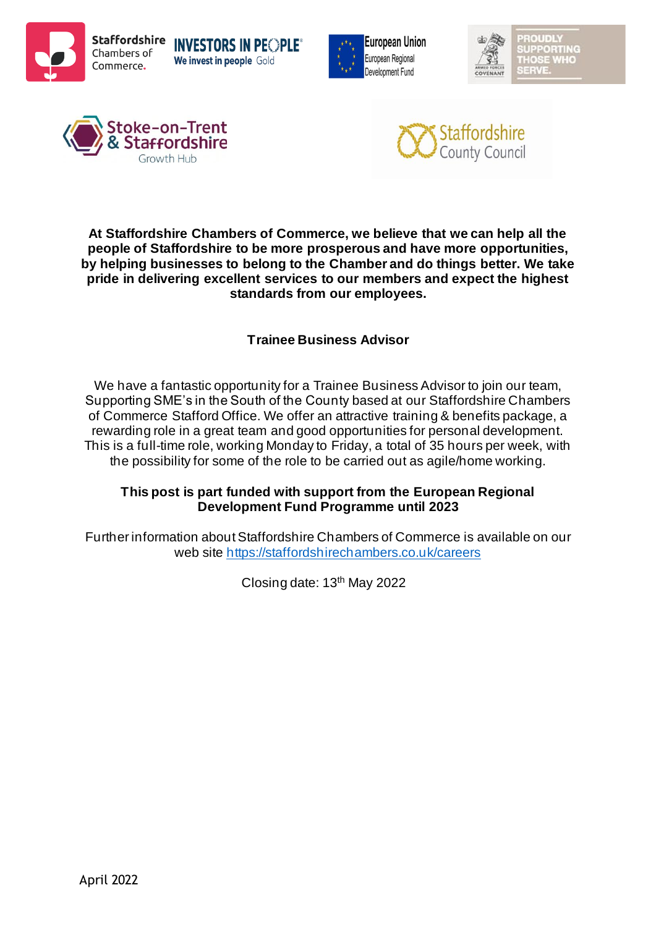









**At Staffordshire Chambers of Commerce, we believe that we can help all the people of Staffordshire to be more prosperous and have more opportunities, by helping businesses to belong to the Chamber and do things better. We take pride in delivering excellent services to our members and expect the highest standards from our employees.** 

# **Trainee Business Advisor**

We have a fantastic opportunity for a Trainee Business Advisor to join our team, Supporting SME's in the South of the County based at our Staffordshire Chambers of Commerce Stafford Office. We offer an attractive training & benefits package, a rewarding role in a great team and good opportunities for personal development. This is a full-time role, working Monday to Friday, a total of 35 hours per week, with the possibility for some of the role to be carried out as agile/home working.

## **This post is part funded with support from the European Regional Development Fund Programme until 2023**

Further information about Staffordshire Chambers of Commerce is available on our web site<https://staffordshirechambers.co.uk/careers>

Closing date: 13th May 2022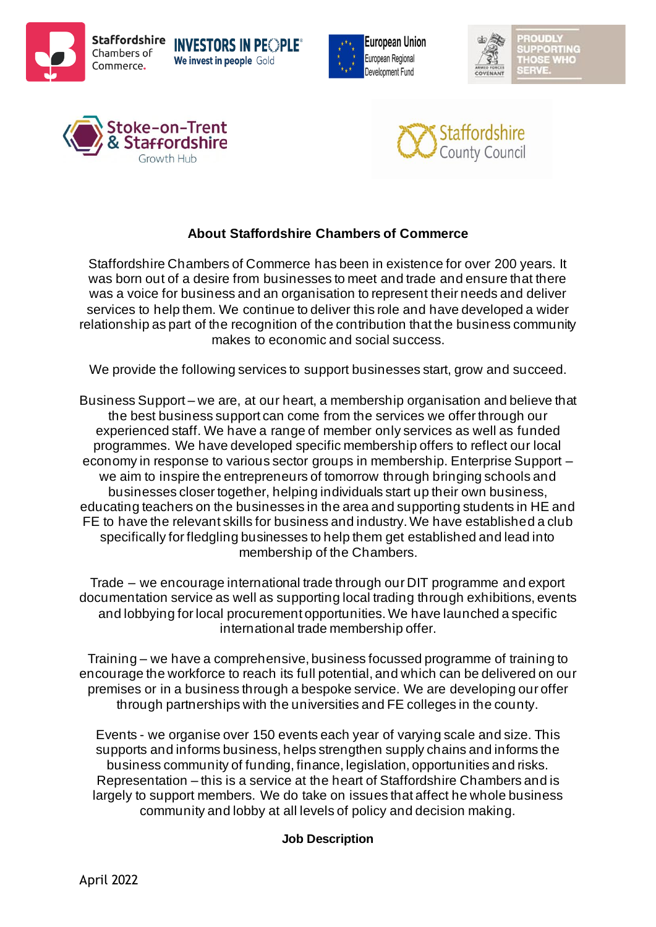









# **About Staffordshire Chambers of Commerce**

Staffordshire Chambers of Commerce has been in existence for over 200 years. It was born out of a desire from businesses to meet and trade and ensure that there was a voice for business and an organisation to represent their needs and deliver services to help them. We continue to deliver this role and have developed a wider relationship as part of the recognition of the contribution that the business community makes to economic and social success.

We provide the following services to support businesses start, grow and succeed.

Business Support – we are, at our heart, a membership organisation and believe that the best business support can come from the services we offer through our experienced staff. We have a range of member only services as well as funded programmes. We have developed specific membership offers to reflect our local economy in response to various sector groups in membership. Enterprise Support – we aim to inspire the entrepreneurs of tomorrow through bringing schools and businesses closer together, helping individuals start up their own business, educating teachers on the businesses in the area and supporting students in HE and FE to have the relevant skills for business and industry. We have established a club specifically for fledgling businesses to help them get established and lead into membership of the Chambers.

Trade – we encourage international trade through our DIT programme and export documentation service as well as supporting local trading through exhibitions, events and lobbying for local procurement opportunities. We have launched a specific international trade membership offer.

Training – we have a comprehensive, business focussed programme of training to encourage the workforce to reach its full potential, and which can be delivered on our premises or in a business through a bespoke service. We are developing our offer through partnerships with the universities and FE colleges in the county.

Events - we organise over 150 events each year of varying scale and size. This supports and informs business, helps strengthen supply chains and informs the business community of funding, finance, legislation, opportunities and risks. Representation – this is a service at the heart of Staffordshire Chambers and is largely to support members. We do take on issues that affect he whole business community and lobby at all levels of policy and decision making.

## **Job Description**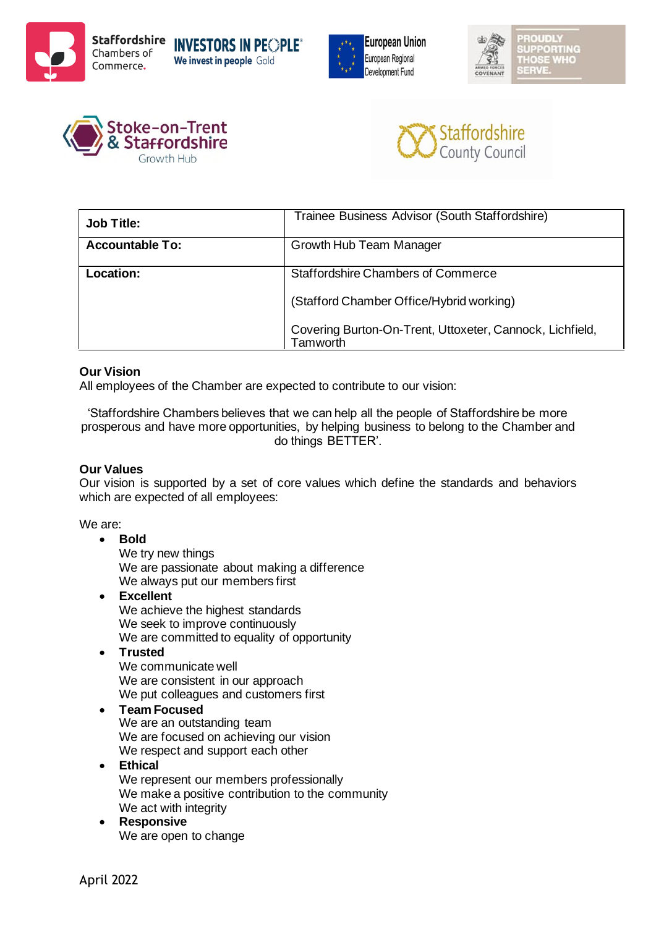









| <b>Job Title:</b>      | Trainee Business Advisor (South Staffordshire)                       |
|------------------------|----------------------------------------------------------------------|
| <b>Accountable To:</b> | Growth Hub Team Manager                                              |
| <b>Location:</b>       | <b>Staffordshire Chambers of Commerce</b>                            |
|                        | (Stafford Chamber Office/Hybrid working)                             |
|                        | Covering Burton-On-Trent, Uttoxeter, Cannock, Lichfield,<br>Tamworth |

#### **Our Vision**

All employees of the Chamber are expected to contribute to our vision:

'Staffordshire Chambers believes that we can help all the people of Staffordshire be more prosperous and have more opportunities, by helping business to belong to the Chamber and do things BETTER'.

#### **Our Values**

Our vision is supported by a set of core values which define the standards and behaviors which are expected of all employees:

We are:

#### • **Bold**

We try new things We are passionate about making a difference We always put our members first

- **Excellent**  We achieve the highest standards We seek to improve continuously We are committed to equality of opportunity
- **Trusted** We communicate well

We are consistent in our approach We put colleagues and customers first

#### • **Team Focused**

We are an outstanding team We are focused on achieving our vision We respect and support each other

- **Ethical** We represent our members professionally We make a positive contribution to the community We act with integrity
- **Responsive** We are open to change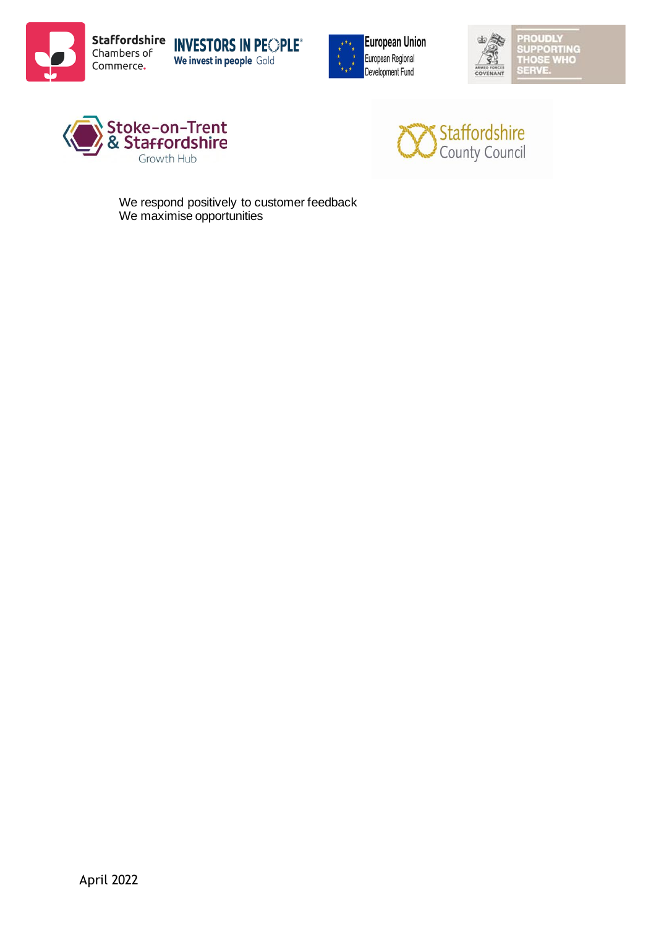









We respond positively to customer feedback We maximise opportunities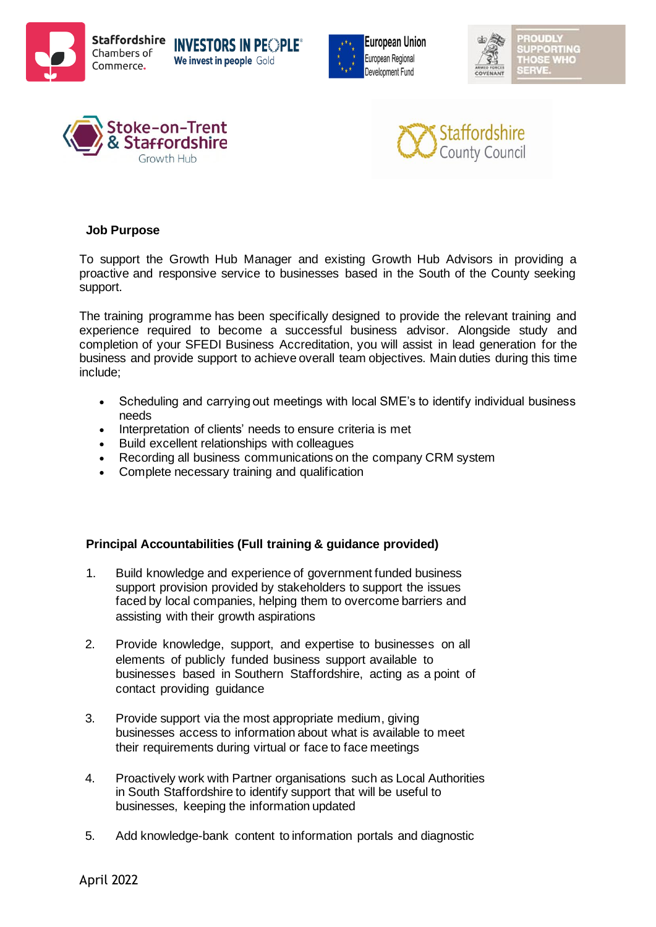









#### **Job Purpose**

To support the Growth Hub Manager and existing Growth Hub Advisors in providing a proactive and responsive service to businesses based in the South of the County seeking support.

The training programme has been specifically designed to provide the relevant training and experience required to become a successful business advisor. Alongside study and completion of your SFEDI Business Accreditation, you will assist in lead generation for the business and provide support to achieve overall team objectives. Main duties during this time include;

- Scheduling and carrying out meetings with local SME's to identify individual business needs
- Interpretation of clients' needs to ensure criteria is met
- Build excellent relationships with colleagues
- Recording all business communications on the company CRM system
- Complete necessary training and qualification

#### **Principal Accountabilities (Full training & guidance provided)**

- 1. Build knowledge and experience of government funded business support provision provided by stakeholders to support the issues faced by local companies, helping them to overcome barriers and assisting with their growth aspirations
- 2. Provide knowledge, support, and expertise to businesses on all elements of publicly funded business support available to businesses based in Southern Staffordshire, acting as a point of contact providing guidance
- 3. Provide support via the most appropriate medium, giving businesses access to information about what is available to meet their requirements during virtual or face to face meetings
- 4. Proactively work with Partner organisations such as Local Authorities in South Staffordshire to identify support that will be useful to businesses, keeping the information updated
- 5. Add knowledge-bank content to information portals and diagnostic

April 2022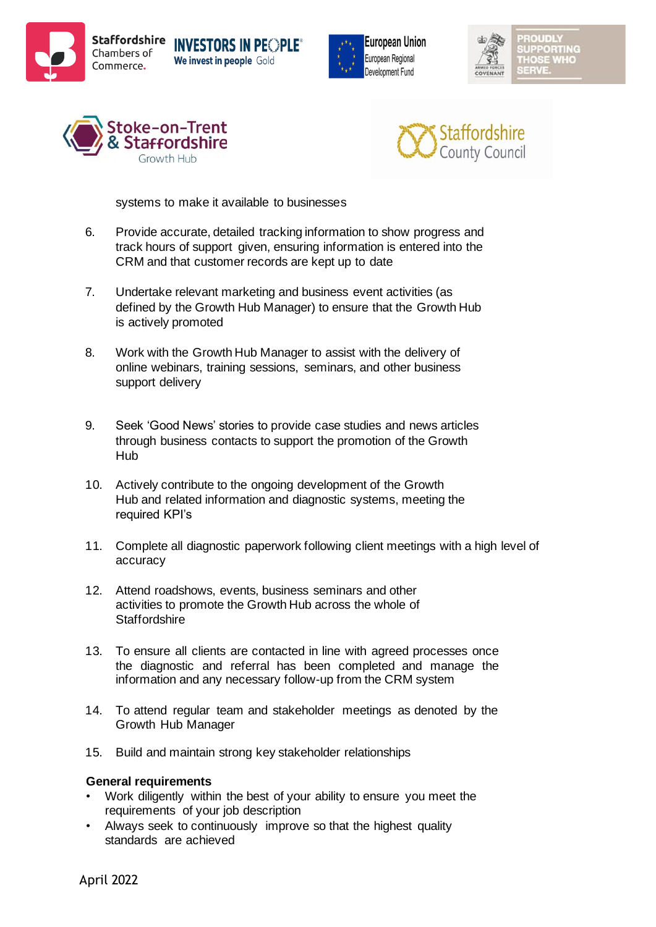









systems to make it available to businesses

- 6. Provide accurate, detailed tracking information to show progress and track hours of support given, ensuring information is entered into the CRM and that customer records are kept up to date
- 7. Undertake relevant marketing and business event activities (as defined by the Growth Hub Manager) to ensure that the Growth Hub is actively promoted
- 8. Work with the Growth Hub Manager to assist with the delivery of online webinars, training sessions, seminars, and other business support delivery
- 9. Seek 'Good News' stories to provide case studies and news articles through business contacts to support the promotion of the Growth Hub
- 10. Actively contribute to the ongoing development of the Growth Hub and related information and diagnostic systems, meeting the required KPI's
- 11. Complete all diagnostic paperwork following client meetings with a high level of accuracy
- 12. Attend roadshows, events, business seminars and other activities to promote the Growth Hub across the whole of **Staffordshire**
- 13. To ensure all clients are contacted in line with agreed processes once the diagnostic and referral has been completed and manage the information and any necessary follow-up from the CRM system
- 14. To attend regular team and stakeholder meetings as denoted by the Growth Hub Manager
- 15. Build and maintain strong key stakeholder relationships

#### **General requirements**

- Work diligently within the best of your ability to ensure you meet the requirements of your job description
- Always seek to continuously improve so that the highest quality standards are achieved

April 2022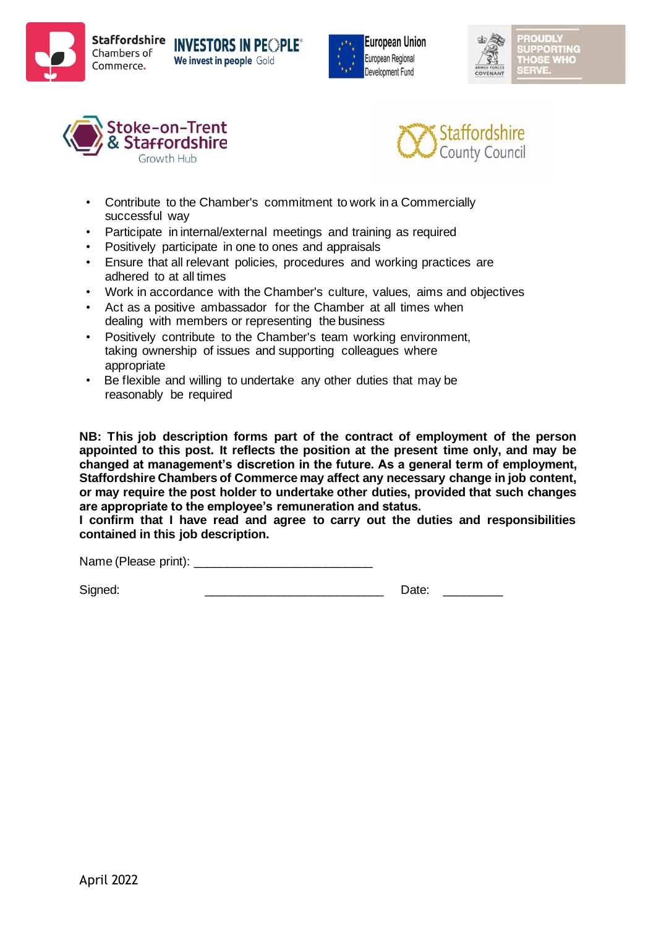









- Contribute to the Chamber's commitment to work in a Commercially successful way
- Participate in internal/external meetings and training as required
- Positively participate in one to ones and appraisals
- Ensure that all relevant policies, procedures and working practices are adhered to at all times
- Work in accordance with the Chamber's culture, values, aims and objectives
- Act as a positive ambassador for the Chamber at all times when dealing with members or representing the business
- Positively contribute to the Chamber's team working environment. taking ownership of issues and supporting colleagues where appropriate
- Be flexible and willing to undertake any other duties that may be reasonably be required

**NB: This job description forms part of the contract of employment of the person appointed to this post. It reflects the position at the present time only, and may be changed at management's discretion in the future. As a general term of employment, Staffordshire Chambers of Commerce may affect any necessary change in job content, or may require the post holder to undertake other duties, provided that such changes are appropriate to the employee's remuneration and status.**

**I confirm that I have read and agree to carry out the duties and responsibilities contained in this job description.** 

Name (Please print): \_\_\_\_\_\_\_\_\_\_\_\_\_\_\_\_\_\_\_\_\_\_\_\_\_\_\_

Signed: \_\_\_\_\_\_\_\_\_\_\_\_\_\_\_\_\_\_\_\_\_\_\_\_\_\_\_ Date: \_\_\_\_\_\_\_\_\_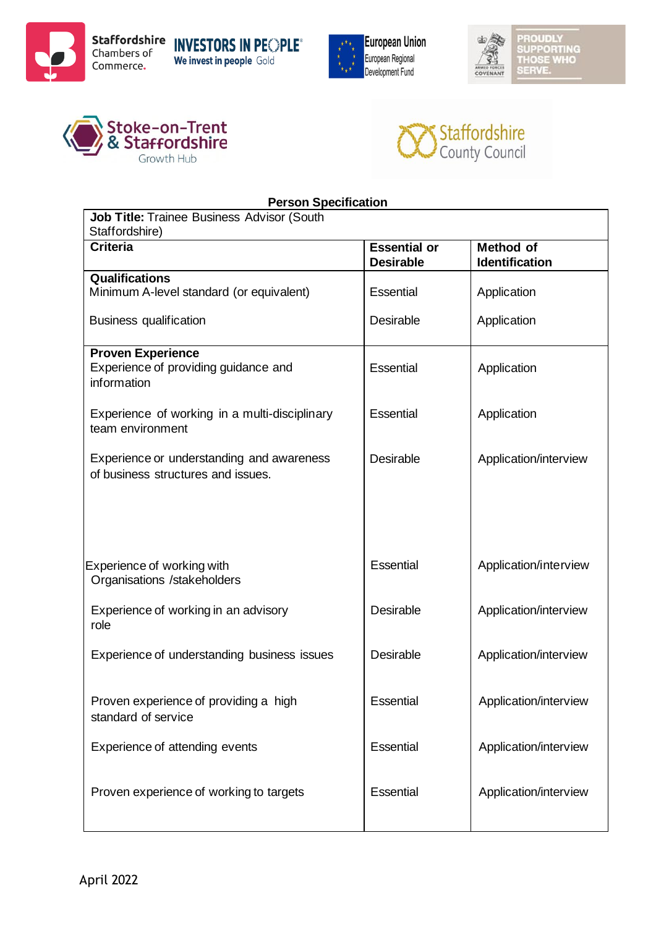









| <b>Person Specification</b>                   |                     |                       |  |  |
|-----------------------------------------------|---------------------|-----------------------|--|--|
| Job Title: Trainee Business Advisor (South    |                     |                       |  |  |
| Staffordshire)                                |                     |                       |  |  |
| <b>Criteria</b>                               | <b>Essential or</b> | <b>Method of</b>      |  |  |
|                                               | <b>Desirable</b>    | <b>Identification</b> |  |  |
| Qualifications                                |                     |                       |  |  |
| Minimum A-level standard (or equivalent)      | Essential           | Application           |  |  |
| <b>Business qualification</b>                 | Desirable           | Application           |  |  |
| <b>Proven Experience</b>                      |                     |                       |  |  |
| Experience of providing guidance and          | Essential           | Application           |  |  |
| information                                   |                     |                       |  |  |
|                                               |                     |                       |  |  |
| Experience of working in a multi-disciplinary | Essential           | Application           |  |  |
| team environment                              |                     |                       |  |  |
|                                               |                     |                       |  |  |
| Experience or understanding and awareness     | Desirable           | Application/interview |  |  |
| of business structures and issues.            |                     |                       |  |  |
|                                               |                     |                       |  |  |
|                                               |                     |                       |  |  |
|                                               |                     |                       |  |  |
|                                               |                     |                       |  |  |
|                                               |                     |                       |  |  |
| Experience of working with                    | Essential           | Application/interview |  |  |
| Organisations /stakeholders                   |                     |                       |  |  |
|                                               |                     |                       |  |  |
| Experience of working in an advisory          | <b>Desirable</b>    | Application/interview |  |  |
| role                                          |                     |                       |  |  |
| Experience of understanding business issues   | Desirable           | Application/interview |  |  |
|                                               |                     |                       |  |  |
|                                               |                     |                       |  |  |
| Proven experience of providing a high         | Essential           | Application/interview |  |  |
| standard of service                           |                     |                       |  |  |
|                                               |                     |                       |  |  |
| Experience of attending events                | Essential           | Application/interview |  |  |
|                                               |                     |                       |  |  |
|                                               |                     |                       |  |  |
| Proven experience of working to targets       | Essential           | Application/interview |  |  |
|                                               |                     |                       |  |  |
|                                               |                     |                       |  |  |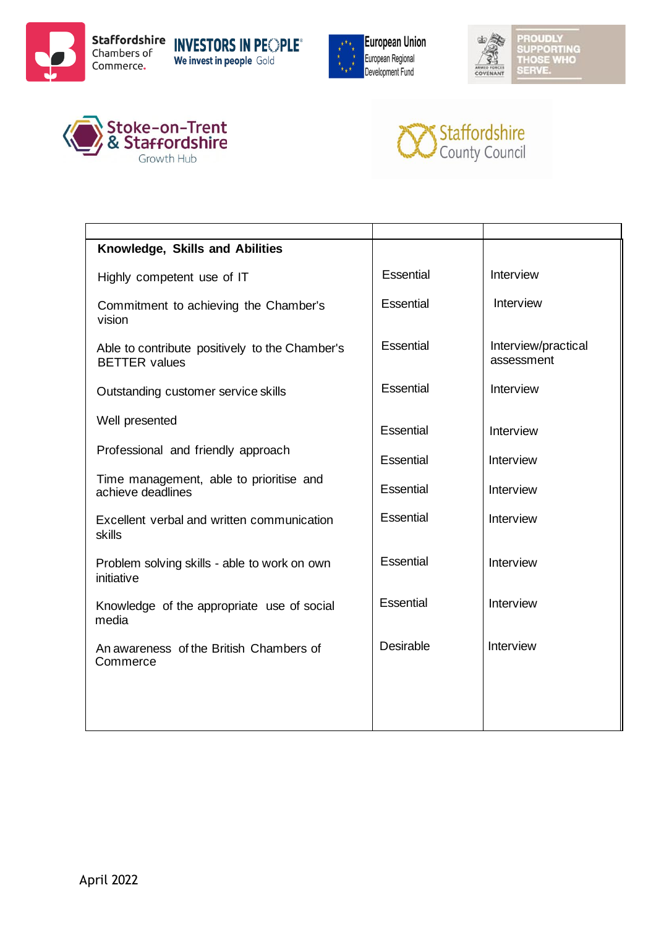









| Knowledge, Skills and Abilities                                        |                  |                                   |
|------------------------------------------------------------------------|------------------|-----------------------------------|
| Highly competent use of IT                                             | Essential        | Interview                         |
| Commitment to achieving the Chamber's<br>vision                        | Essential        | Interview                         |
| Able to contribute positively to the Chamber's<br><b>BETTER</b> values | Essential        | Interview/practical<br>assessment |
| Outstanding customer service skills                                    | Essential        | Interview                         |
| Well presented                                                         | Essential        | Interview                         |
| Professional and friendly approach                                     | Essential        | Interview                         |
| Time management, able to prioritise and<br>achieve deadlines           | Essential        | Interview                         |
| Excellent verbal and written communication<br>skills                   | Essential        | Interview                         |
| Problem solving skills - able to work on own<br>initiative             | Essential        | Interview                         |
| Knowledge of the appropriate use of social<br>media                    | Essential        | Interview                         |
| An awareness of the British Chambers of<br>Commerce                    | <b>Desirable</b> | Interview                         |
|                                                                        |                  |                                   |
|                                                                        |                  |                                   |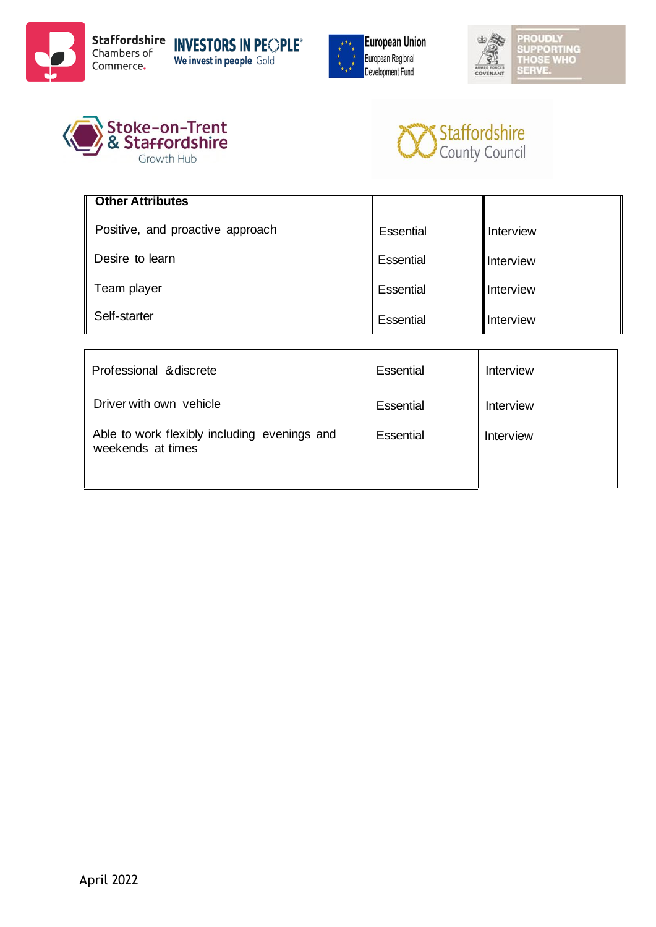









| <b>Other Attributes</b>          |           |           |
|----------------------------------|-----------|-----------|
| Positive, and proactive approach | Essential | Interview |
| Desire to learn                  | Essential | Interview |
| Team player                      | Essential | Interview |
| Self-starter                     | Essential | Interview |

| Professional & discrete                                           | Essential | Interview |
|-------------------------------------------------------------------|-----------|-----------|
| Driver with own vehicle                                           | Essential | Interview |
| Able to work flexibly including evenings and<br>weekends at times | Essential | Interview |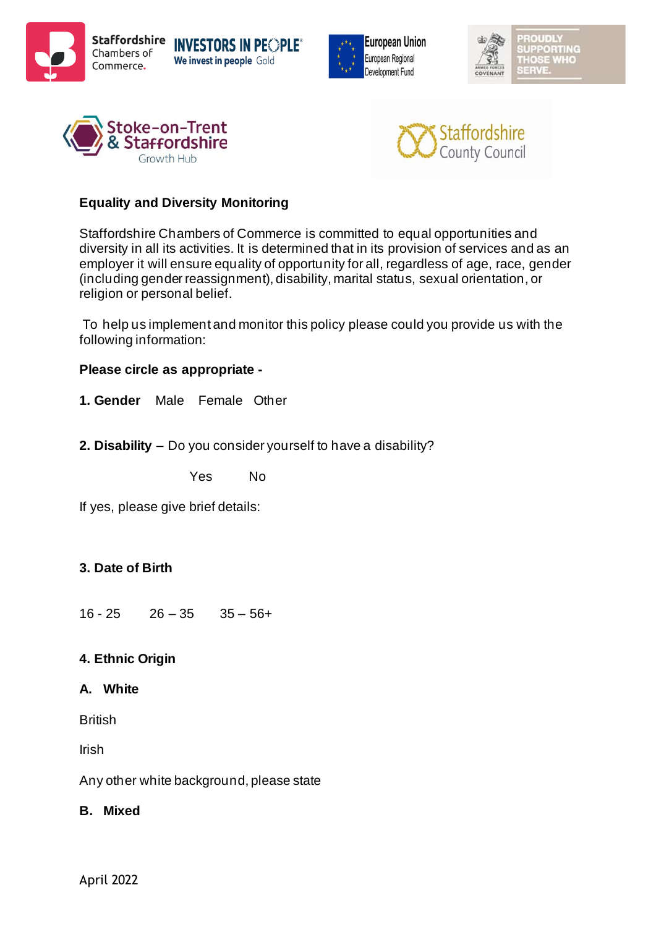









## **Equality and Diversity Monitoring**

Staffordshire Chambers of Commerce is committed to equal opportunities and diversity in all its activities. It is determined that in its provision of services and as an employer it will ensure equality of opportunity for all, regardless of age, race, gender (including gender reassignment), disability, marital status, sexual orientation, or religion or personal belief.

To help us implement and monitor this policy please could you provide us with the following information:

## **Please circle as appropriate -**

- **1. Gender** Male Female Other
- **2. Disability** Do you consider yourself to have a disability?

Yes No

If yes, please give brief details:

## **3. Date of Birth**

 $16 - 25$   $26 - 35$   $35 - 56 +$ 

## **4. Ethnic Origin**

## **A. White**

**British** 

Irish

Any other white background, please state

## **B. Mixed**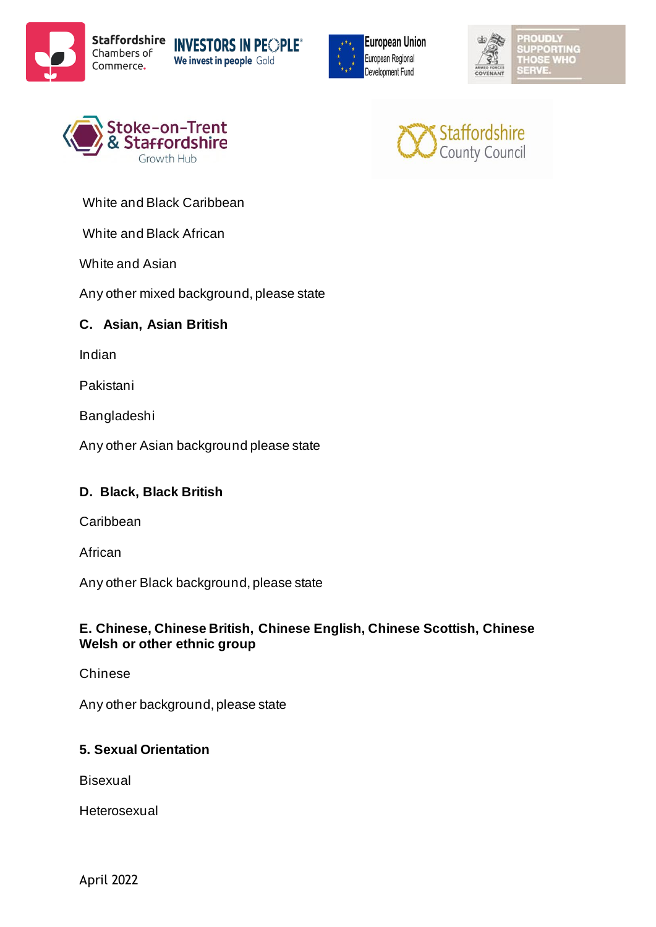









White and Black Caribbean

White and Black African

White and Asian

Any other mixed background, please state

## **C. Asian, Asian British**

Indian

Pakistani

Bangladeshi

Any other Asian background please state

## **D. Black, Black British**

Caribbean

African

Any other Black background, please state

## **E. Chinese, Chinese British, Chinese English, Chinese Scottish, Chinese Welsh or other ethnic group**

Chinese

Any other background, please state

## **5. Sexual Orientation**

Bisexual

Heterosexual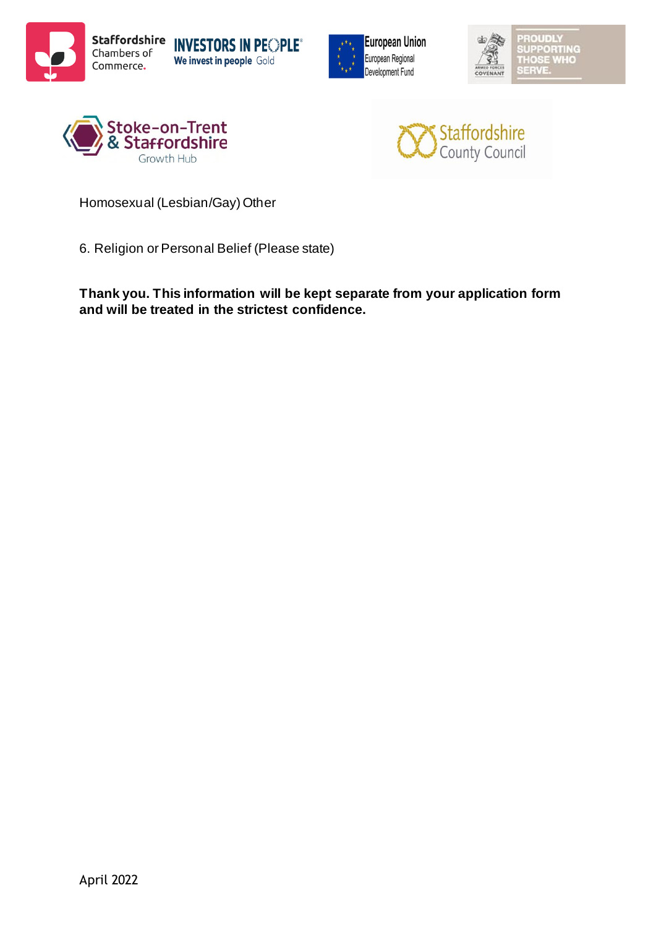









Homosexual (Lesbian/Gay) Other

6. Religion or Personal Belief (Please state)

**Thank you. This information will be kept separate from your application form and will be treated in the strictest confidence.**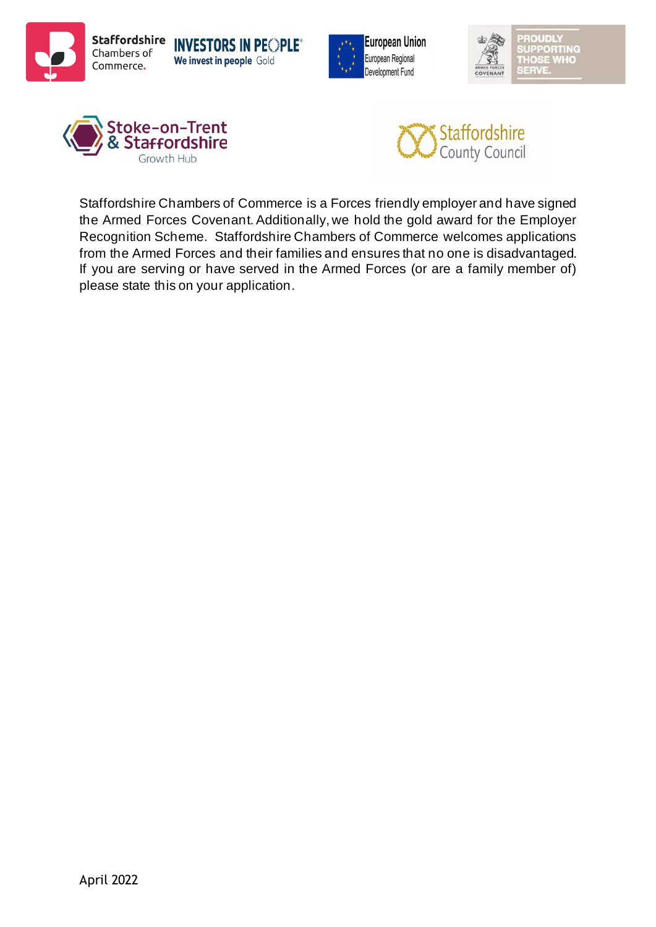









Staffordshire Chambers of Commerce is a Forces friendly employer and have signed the Armed Forces Covenant. Additionally, we hold the gold award for the Employer Recognition Scheme. Staffordshire Chambers of Commerce welcomes applications from the Armed Forces and their families and ensures that no one is disadvantaged. If you are serving or have served in the Armed Forces (or are a family member of) please state this on your application.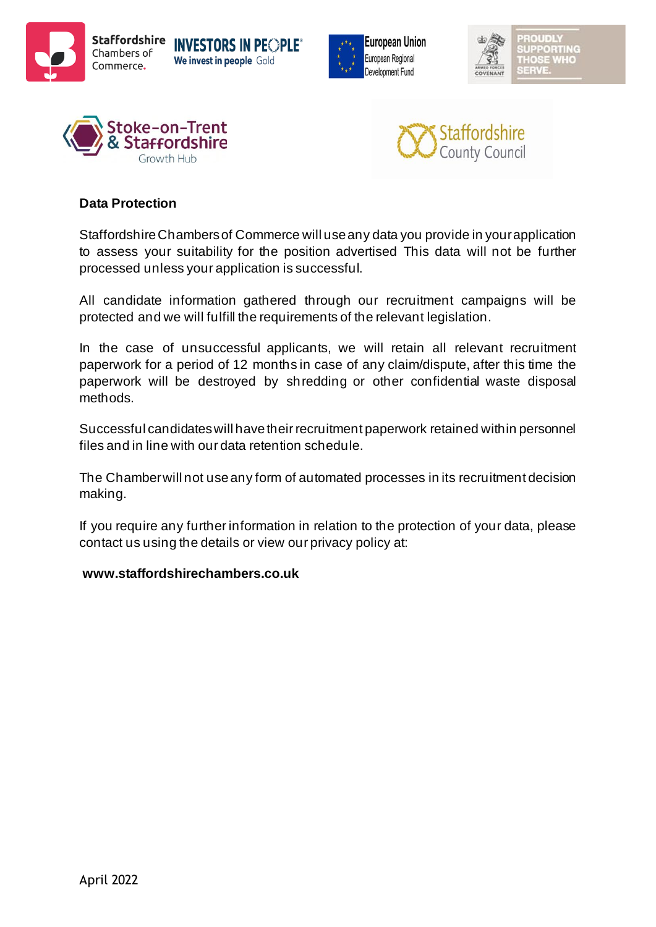









## **Data Protection**

Staffordshire Chambers of Commerce will use any data you provide in your application to assess your suitability for the position advertised This data will not be further processed unless your application is successful.

All candidate information gathered through our recruitment campaigns will be protected and we will fulfill the requirements of the relevant legislation.

In the case of unsuccessful applicants, we will retain all relevant recruitment paperwork for a period of 12 months in case of any claim/dispute, after this time the paperwork will be destroyed by shredding or other confidential waste disposal methods.

Successful candidates will have their recruitment paperwork retained within personnel files and in line with our data retention schedule.

The Chamber will not use any form of automated processes in its recruitment decision making.

If you require any further information in relation to the protection of your data, please contact us using the details or view our privacy policy at:

#### **www.staffordshirechambers.co.uk**